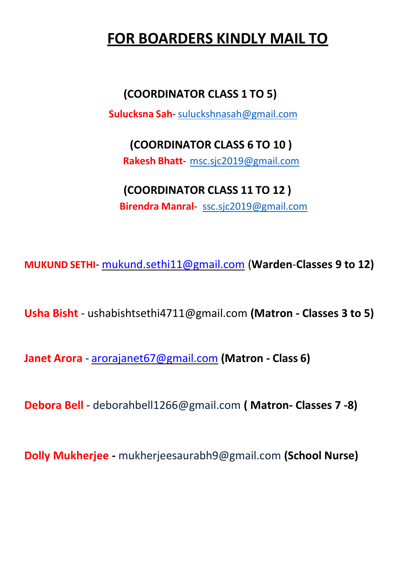## **FOR BOARDERS KINDLY MAIL TO**

### **(COORDINATOR CLASS 1 TO 5)**

 **Sulucksna Sah**- [suluckshnasah@gmail.com](mailto:suluckshnasah@gmail.com)

# **(COORDINATOR CLASS 6 TO 10 )**

 **Rakesh Bhatt**- [msc.sjc2019@gmail.com](mailto:msc.sjc2019@gmail.com)

## **(COORDINATOR CLASS 11 TO 12 )**

 **Birendra Manral**- [ssc.sjc2019@gmail.com](mailto:ssc.sjc2019@gmail.com)

**MUKUND SETHI**- [mukund.sethi11@gmail.com](mailto:mukund.sethi11@gmail.com) (**Warden**-**Classes 9 to 12)**

**Usha Bisht** - [ushabishtsethi4711@gmail.com](mailto:ushabishtsethi4711@gmail.com) **(Matron - Classes 3 to 5)**

**Janet Arora** - [arorajanet67@gmail.com](mailto:arorajanet67@gmail.com) **(Matron - Class 6)**

**Debora Bell** - [deborahbell1266@gmail.com](mailto:deborahbell1266@gmail.com) **( Matron- Classes 7 -8)**

**Dolly Mukherjee -** [mukherjeesaurabh9@gmail.com](mailto:mukherjeesaurabh9@gmail.com) **(School Nurse)**